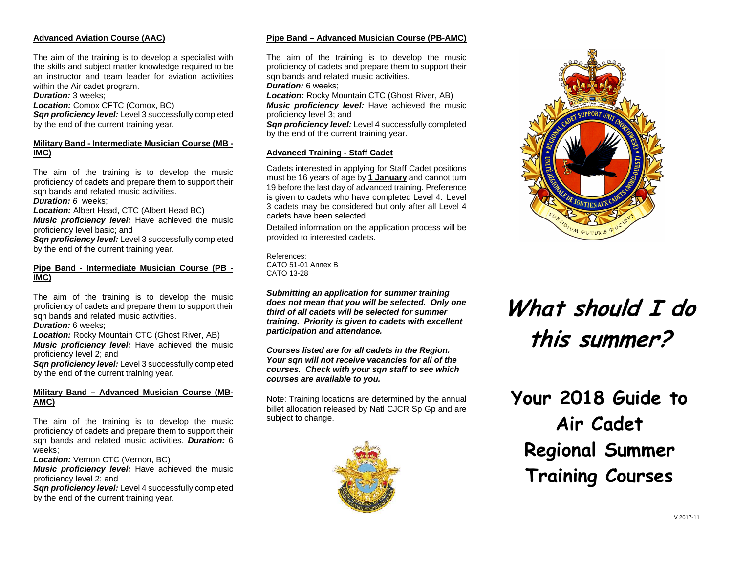## **Advanced Aviation Course (AAC)**

The aim of the training is to develop a specialist with the skills and subject matter knowledge required to be an instructor and team leader for aviation activities within the Air cadet program.

**Duration:** 3 weeks;

Location: Comox CFTC (Comox, BC)

 **Sqn proficiency level:** Level 3 successfully completed by the end of the current training year.

#### **Military Band - Intermediate Musician Course (MB - IMC)**

The aim of the training is to develop the music proficiency of cadets and prepare them to support their san bands and related music activities.

**Duration: 6 weeks;** 

 **Location:** Albert Head, CTC (Albert Head BC) **Music proficiency level:** Have achieved the music proficiency level basic; and

 **Sqn proficiency level:** Level 3 successfully completed by the end of the current training year.

## **Pipe Band - Intermediate Musician Course (PB - IMC)**

The aim of the training is to develop the music proficiency of cadets and prepare them to support their sqn bands and related music activities.

**Duration:** 6 weeks;

**Location:** Rocky Mountain CTC (Ghost River, AB) **Music proficiency level:** Have achieved the music proficiency level 2; and

 **Sqn proficiency level:** Level 3 successfully completed by the end of the current training year.

# **Military Band – Advanced Musician Course (MB-AMC)**

The aim of the training is to develop the music proficiency of cadets and prepare them to support their sqn bands and related music activities. **Duration:** <sup>6</sup> weeks;

**Location:** Vernon CTC (Vernon, BC)

**Music proficiency level:** Have achieved the music proficiency level 2; and

 **Sqn proficiency level:** Level 4 successfully completed by the end of the current training year.

## **Pipe Band – Advanced Musician Course (PB-AMC)**

The aim of the training is to develop the music proficiency of cadets and prepare them to support their san bands and related music activities.

**Duration:** 6 weeks;

**Location:** Rocky Mountain CTC (Ghost River, AB) **Music proficiency level:** Have achieved the music proficiency level 3; and

 **Sqn proficiency level:** Level 4 successfully completed by the end of the current training year.

## **Advanced Training - Staff Cadet**

Cadets interested in applying for Staff Cadet positions must be 16 years of age by **1 January** and cannot turn 19 before the last day of advanced training. Preference is given to cadets who have completed Level 4. Level 3 cadets may be considered but only after all Level 4 cadets have been selected.

Detailed information on the application process will be provided to interested cadets.

References: CATO 51-01 Annex B CATO 13-28

**Submitting an application for summer training does not mean that you will be selected. Only one third of all cadets will be selected for summer training. Priority is given to cadets with excellent participation and attendance.** 

**Courses listed are for all cadets in the Region. Your sqn will not receive vacancies for all of the courses. Check with your sqn staff to see which courses are available to you.**

Note: Training locations are determined by the annual billet allocation released by Natl CJCR Sp Gp and are subject to change.





# **What should I do this summer?**

**Your 2018 Guide to Air Cadet Regional Summer Training Courses**